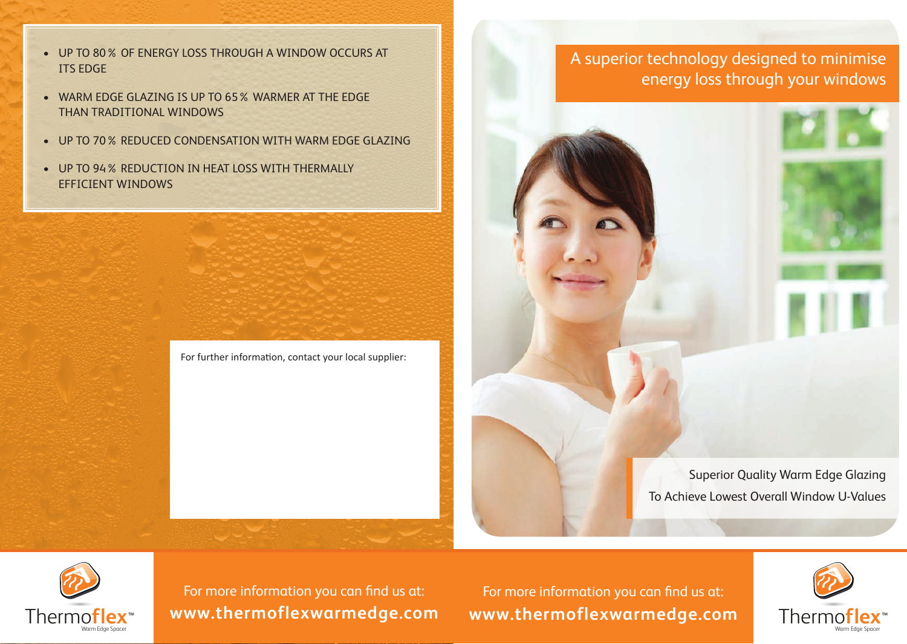- UP TO 80% OF ENERGY LOSS THROUGH A WINDOW OCCURS AT ITS EDGE
- WARM EDGE GLAZING IS UP TO 65% WARMER AT THE EDGE THAN TRADITIONAL WINDOWS
- UP TO 70% REDUCED CONDENSATION WITH WARM EDGE GLAZING
- UP TO 94% REDUCTION IN HEAT LOSS WITH THERMALLY EFFICIENT WINDOWS



## A superior technology designed to minimise energy loss through your windows

Superior Quality Warm Edge Glazing To Achieve Lowest Overall Window U-Values



For more information you can find us at: **www.thermoflexwarmedge.com**

For more information you can find us at: Thermo**flex www.thermoflexwarmedge.com**